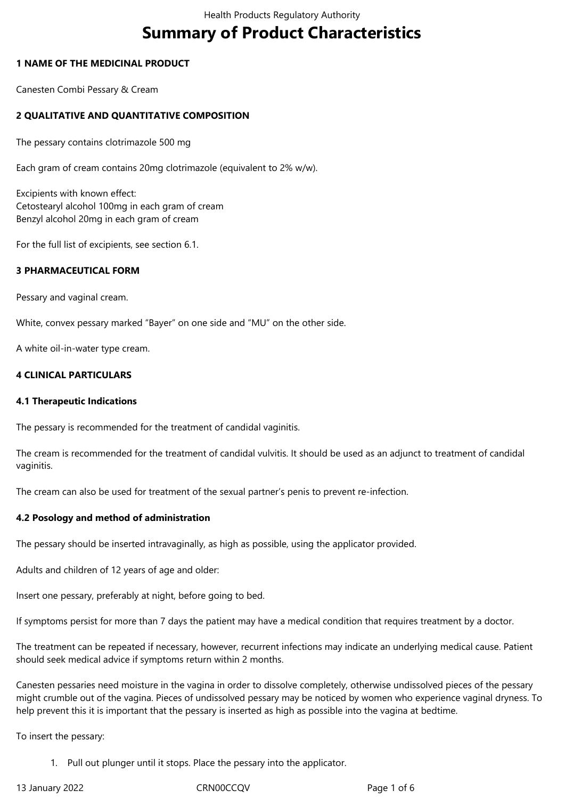# **Summary of Product Characteristics**

## **1 NAME OF THE MEDICINAL PRODUCT**

Canesten Combi Pessary & Cream

## **2 QUALITATIVE AND QUANTITATIVE COMPOSITION**

The pessary contains clotrimazole 500 mg

Each gram of cream contains 20mg clotrimazole (equivalent to 2% w/w).

Excipients with known effect: Cetostearyl alcohol 100mg in each gram of cream Benzyl alcohol 20mg in each gram of cream

For the full list of excipients, see section 6.1.

#### **3 PHARMACEUTICAL FORM**

Pessary and vaginal cream.

White, convex pessary marked "Bayer" on one side and "MU" on the other side.

A white oil-in-water type cream.

#### **4 CLINICAL PARTICULARS**

#### **4.1 Therapeutic Indications**

The pessary is recommended for the treatment of candidal vaginitis.

The cream is recommended for the treatment of candidal vulvitis. It should be used as an adjunct to treatment of candidal vaginitis.

The cream can also be used for treatment of the sexual partner's penis to prevent re-infection.

#### **4.2 Posology and method of administration**

The pessary should be inserted intravaginally, as high as possible, using the applicator provided.

Adults and children of 12 years of age and older:

Insert one pessary, preferably at night, before going to bed.

If symptoms persist for more than 7 days the patient may have a medical condition that requires treatment by a doctor.

The treatment can be repeated if necessary, however, recurrent infections may indicate an underlying medical cause. Patient should seek medical advice if symptoms return within 2 months.

Canesten pessaries need moisture in the vagina in order to dissolve completely, otherwise undissolved pieces of the pessary might crumble out of the vagina. Pieces of undissolved pessary may be noticed by women who experience vaginal dryness. To help prevent this it is important that the pessary is inserted as high as possible into the vagina at bedtime.

To insert the pessary:

1. Pull out plunger until it stops. Place the pessary into the applicator.

13 January 2022 CRN00CCQV Page 1 of 6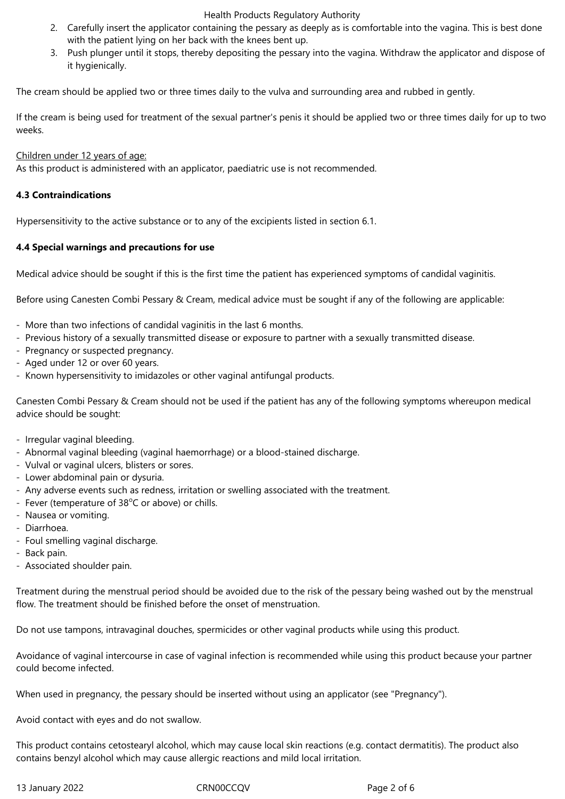#### Health Products Regulatory Authority

- 2. Carefully insert the applicator containing the pessary as deeply as is comfortable into the vagina. This is best done with the patient lying on her back with the knees bent up.
- 3. Push plunger until it stops, thereby depositing the pessary into the vagina. Withdraw the applicator and dispose of it hygienically.

The cream should be applied two or three times daily to the vulva and surrounding area and rubbed in gently.

If the cream is being used for treatment of the sexual partner's penis it should be applied two or three times daily for up to two weeks.

Children under 12 years of age:

As this product is administered with an applicator, paediatric use is not recommended.

## **4.3 Contraindications**

Hypersensitivity to the active substance or to any of the excipients listed in section 6.1.

## **4.4 Special warnings and precautions for use**

Medical advice should be sought if this is the first time the patient has experienced symptoms of candidal vaginitis.

Before using Canesten Combi Pessary & Cream, medical advice must be sought if any of the following are applicable:

- More than two infections of candidal vaginitis in the last 6 months.
- Previous history of a sexually transmitted disease or exposure to partner with a sexually transmitted disease.
- Pregnancy or suspected pregnancy.
- Aged under 12 or over 60 years.
- Known hypersensitivity to imidazoles or other vaginal antifungal products.

Canesten Combi Pessary & Cream should not be used if the patient has any of the following symptoms whereupon medical advice should be sought:

- Irregular vaginal bleeding.
- Abnormal vaginal bleeding (vaginal haemorrhage) or a blood-stained discharge.
- Vulval or vaginal ulcers, blisters or sores.
- Lower abdominal pain or dysuria.
- Any adverse events such as redness, irritation or swelling associated with the treatment.
- Fever (temperature of  $38^{\circ}$ C or above) or chills.
- Nausea or vomiting.
- Diarrhoea.
- Foul smelling vaginal discharge.
- Back pain.
- Associated shoulder pain.

Treatment during the menstrual period should be avoided due to the risk of the pessary being washed out by the menstrual flow. The treatment should be finished before the onset of menstruation.

Do not use tampons, intravaginal douches, spermicides or other vaginal products while using this product.

Avoidance of vaginal intercourse in case of vaginal infection is recommended while using this product because your partner could become infected.

When used in pregnancy, the pessary should be inserted without using an applicator (see "Pregnancy").

Avoid contact with eyes and do not swallow.

This product contains cetostearyl alcohol, which may cause local skin reactions (e.g. contact dermatitis). The product also contains benzyl alcohol which may cause allergic reactions and mild local irritation.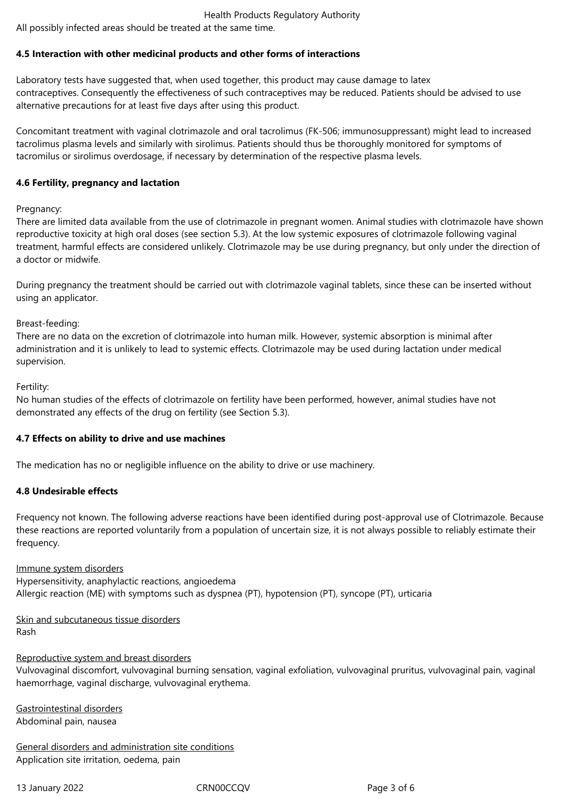# **4.5 Interaction with other medicinal products and other forms of interactions**

Laboratory tests have suggested that, when used together, this product may cause damage to latex contraceptives. Consequently the effectiveness of such contraceptives may be reduced. Patients should be advised to use alternative precautions for at least five days after using this product.

Concomitant treatment with vaginal clotrimazole and oral tacrolimus (FK-506; immunosuppressant) might lead to increased tacrolimus plasma levels and similarly with sirolimus. Patients should thus be thoroughly monitored for symptoms of tacromilus or sirolimus overdosage, if necessary by determination of the respective plasma levels.

# **4.6 Fertility, pregnancy and lactation**

Pregnancy:

There are limited data available from the use of clotrimazole in pregnant women. Animal studies with clotrimazole have shown reproductive toxicity at high oral doses (see section 5.3). At the low systemic exposures of clotrimazole following vaginal treatment, harmful effects are considered unlikely. Clotrimazole may be use during pregnancy, but only under the direction of a doctor or midwife.

During pregnancy the treatment should be carried out with clotrimazole vaginal tablets, since these can be inserted without using an applicator.

## Breast-feeding:

There are no data on the excretion of clotrimazole into human milk. However, systemic absorption is minimal after administration and it is unlikely to lead to systemic effects. Clotrimazole may be used during lactation under medical supervision.

Fertility:

No human studies of the effects of clotrimazole on fertility have been performed, however, animal studies have not demonstrated any effects of the drug on fertility (see Section 5.3).

# **4.7 Effects on ability to drive and use machines**

The medication has no or negligible influence on the ability to drive or use machinery.

# **4.8 Undesirable effects**

Frequency not known. The following adverse reactions have been identified during post-approval use of Clotrimazole. Because these reactions are reported voluntarily from a population of uncertain size, it is not always possible to reliably estimate their frequency.

#### Immune system disorders

Hypersensitivity, anaphylactic reactions, angioedema Allergic reaction (ME) with symptoms such as dyspnea (PT), hypotension (PT), syncope (PT), urticaria

Skin and subcutaneous tissue disorders Rash

Reproductive system and breast disorders

Vulvovaginal discomfort, vulvovaginal burning sensation, vaginal exfoliation, vulvovaginal pruritus, vulvovaginal pain, vaginal haemorrhage, vaginal discharge, vulvovaginal erythema.

Gastrointestinal disorders Abdominal pain, nausea

General disorders and administration site conditions Application site irritation, oedema, pain

13 January 2022 CRN00CCQV Page 3 of 6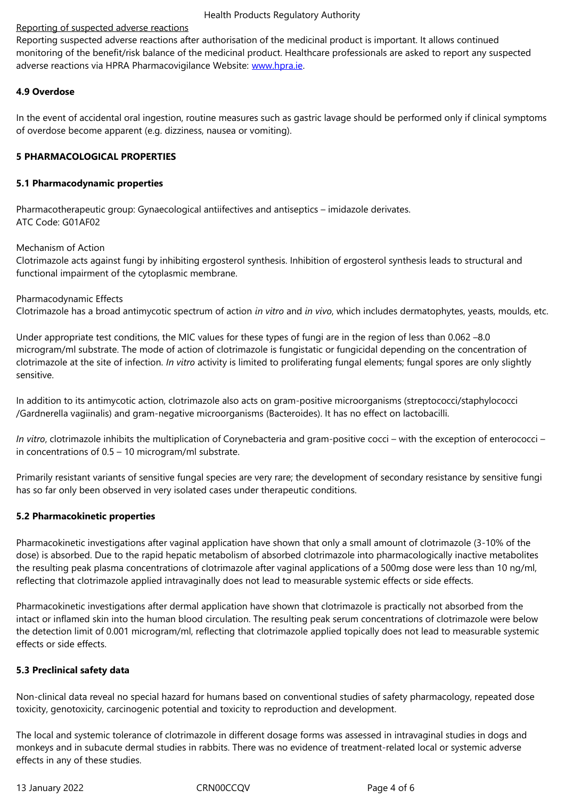monitoring of the benefit/risk balance of the medicinal product. Healthcare professionals are asked to report any suspected adverse reactions via HPRA Pharmacovigilance Website: www.hpra.ie.

## **4.9 Overdose**

In the event of accidental oral ingestion, routine measur[es such as ga](http://www.hpra.ie/)stric lavage should be performed only if clinical symptoms of overdose become apparent (e.g. dizziness, nausea or vomiting).

## **5 PHARMACOLOGICAL PROPERTIES**

#### **5.1 Pharmacodynamic properties**

Pharmacotherapeutic group: Gynaecological antiifectives and antiseptics – imidazole derivates. ATC Code: G01AF02

#### Mechanism of Action

Clotrimazole acts against fungi by inhibiting ergosterol synthesis. Inhibition of ergosterol synthesis leads to structural and functional impairment of the cytoplasmic membrane.

Pharmacodynamic Effects Clotrimazole has a broad antimycotic spectrum of action *in vitro* and *in vivo*, which includes dermatophytes, yeasts, moulds, etc.

Under appropriate test conditions, the MIC values for these types of fungi are in the region of less than 0.062 –8.0 microgram/ml substrate. The mode of action of clotrimazole is fungistatic or fungicidal depending on the concentration of clotrimazole at the site of infection. *In vitro* activity is limited to proliferating fungal elements; fungal spores are only slightly sensitive.

In addition to its antimycotic action, clotrimazole also acts on gram-positive microorganisms (streptococci/staphylococci /Gardnerella vagiinalis) and gram-negative microorganisms (Bacteroides). It has no effect on lactobacilli.

*In vitro*, clotrimazole inhibits the multiplication of Corynebacteria and gram-positive cocci – with the exception of enterococci – in concentrations of 0.5 – 10 microgram/ml substrate.

Primarily resistant variants of sensitive fungal species are very rare; the development of secondary resistance by sensitive fungi has so far only been observed in very isolated cases under therapeutic conditions.

# **5.2 Pharmacokinetic properties**

Pharmacokinetic investigations after vaginal application have shown that only a small amount of clotrimazole (3-10% of the dose) is absorbed. Due to the rapid hepatic metabolism of absorbed clotrimazole into pharmacologically inactive metabolites the resulting peak plasma concentrations of clotrimazole after vaginal applications of a 500mg dose were less than 10 ng/ml, reflecting that clotrimazole applied intravaginally does not lead to measurable systemic effects or side effects.

Pharmacokinetic investigations after dermal application have shown that clotrimazole is practically not absorbed from the intact or inflamed skin into the human blood circulation. The resulting peak serum concentrations of clotrimazole were below the detection limit of 0.001 microgram/ml, reflecting that clotrimazole applied topically does not lead to measurable systemic effects or side effects.

# **5.3 Preclinical safety data**

Non-clinical data reveal no special hazard for humans based on conventional studies of safety pharmacology, repeated dose toxicity, genotoxicity, carcinogenic potential and toxicity to reproduction and development.

The local and systemic tolerance of clotrimazole in different dosage forms was assessed in intravaginal studies in dogs and monkeys and in subacute dermal studies in rabbits. There was no evidence of treatment-related local or systemic adverse effects in any of these studies.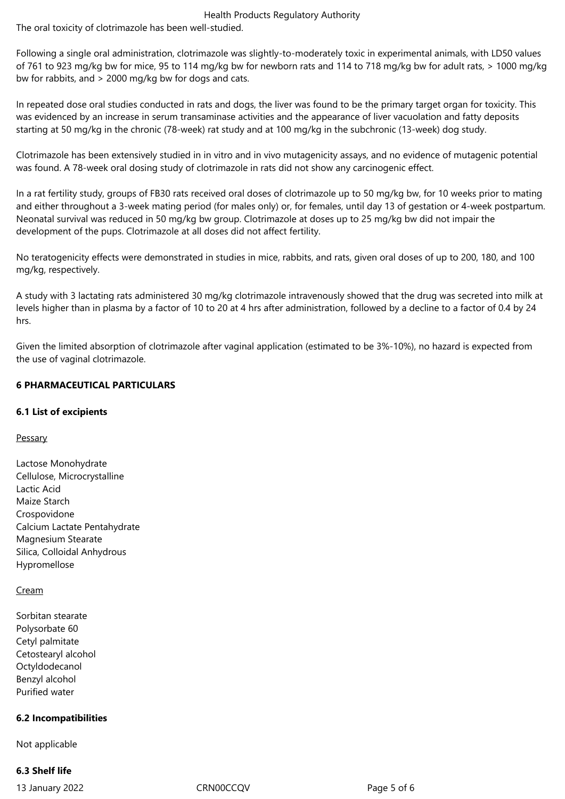Health Products Regulatory Authority The oral toxicity of clotrimazole has been well-studied.

Following a single oral administration, clotrimazole was slightly-to-moderately toxic in experimental animals, with LD50 values of 761 to 923 mg/kg bw for mice, 95 to 114 mg/kg bw for newborn rats and 114 to 718 mg/kg bw for adult rats, > 1000 mg/kg bw for rabbits, and > 2000 mg/kg bw for dogs and cats.

In repeated dose oral studies conducted in rats and dogs, the liver was found to be the primary target organ for toxicity. This was evidenced by an increase in serum transaminase activities and the appearance of liver vacuolation and fatty deposits starting at 50 mg/kg in the chronic (78-week) rat study and at 100 mg/kg in the subchronic (13-week) dog study.

Clotrimazole has been extensively studied in in vitro and in vivo mutagenicity assays, and no evidence of mutagenic potential was found. A 78-week oral dosing study of clotrimazole in rats did not show any carcinogenic effect.

In a rat fertility study, groups of FB30 rats received oral doses of clotrimazole up to 50 mg/kg bw, for 10 weeks prior to mating and either throughout a 3-week mating period (for males only) or, for females, until day 13 of gestation or 4-week postpartum. Neonatal survival was reduced in 50 mg/kg bw group. Clotrimazole at doses up to 25 mg/kg bw did not impair the development of the pups. Clotrimazole at all doses did not affect fertility.

No teratogenicity effects were demonstrated in studies in mice, rabbits, and rats, given oral doses of up to 200, 180, and 100 mg/kg, respectively.

A study with 3 lactating rats administered 30 mg/kg clotrimazole intravenously showed that the drug was secreted into milk at levels higher than in plasma by a factor of 10 to 20 at 4 hrs after administration, followed by a decline to a factor of 0.4 by 24 hrs.

Given the limited absorption of clotrimazole after vaginal application (estimated to be 3%-10%), no hazard is expected from the use of vaginal clotrimazole.

# **6 PHARMACEUTICAL PARTICULARS**

# **6.1 List of excipients**

**Pessary** 

Lactose Monohydrate Cellulose, Microcrystalline Lactic Acid Maize Starch Crospovidone Calcium Lactate Pentahydrate Magnesium Stearate Silica, Colloidal Anhydrous Hypromellose

# Cream

Sorbitan stearate Polysorbate 60 Cetyl palmitate Cetostearyl alcohol Octyldodecanol Benzyl alcohol Purified water

# **6.2 Incompatibilities**

Not applicable

# **6.3 Shelf life**

13 January 2022 CRN00CCQV Page 5 of 6